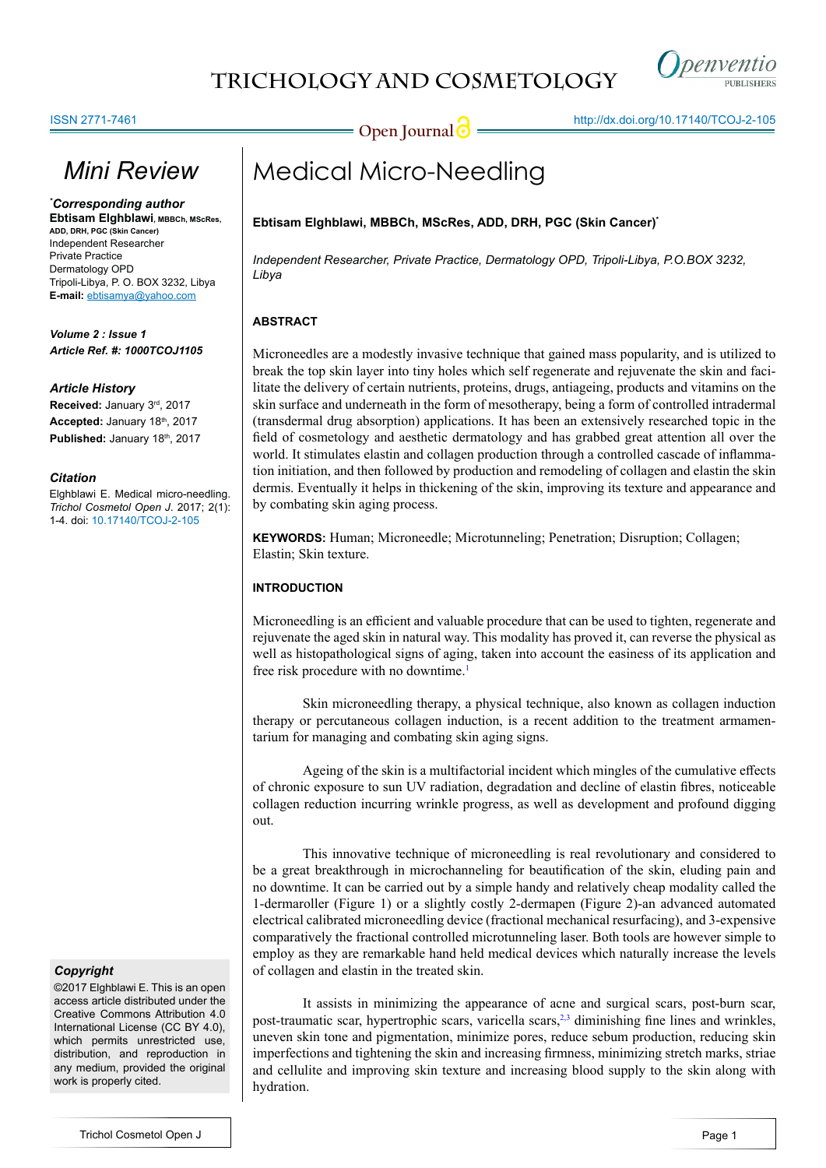## **TRICHOLOGY AND COSMETOLOGY**



**Open Journal <b>C** = the http://dx.doi.org/[10.17140/TCOJ-2-105](http://dx.doi.org/10.17140/TCOJ-2-105)

# *Mini Review*

*\* Corresponding author* **Ebtisam Elghblawi, MBBCh, MScRes, ADD, DRH, PGC (Skin Cancer)** Independent Researcher Private Practice Dermatology OPD Tripoli-Libya, P. O. BOX 3232, Libya **E-mail:** ebtisamya@yahoo.com

*Volume 2 : Issue 1 Article Ref. #: 1000TCOJ1105*

#### *Article History*

**Received:** January 3rd, 2017 **Accepted:** January 18th, 2017 Published: January 18<sup>th</sup>, 2017

#### *Citation*

Elghblawi E. Medical micro-needling. *Trichol Cosmetol Open J*. 2017; 2(1): 1-4. doi: [10.17140/TCOJ-2-105](http://dx.doi.org/10.17140/TCOJ-2-105)

#### *Copyright*

©2017 Elghblawi E. This is an open access article distributed under the Creative Commons Attribution 4.0 International License (CC BY 4.0), which permits unrestricted use, distribution, and reproduction in any medium, provided the original work is properly cited.

## Medical Micro-Needling

#### **Ebtisam Elghblawi, MBBCh, MScRes, ADD, DRH, PGC (Skin Cancer)\***

*Independent Researcher, Private Practice, Dermatology OPD, Tripoli-Libya, P.O.BOX 3232, Libya*

#### **ABSTRACT**

Microneedles are a modestly invasive technique that gained mass popularity, and is utilized to break the top skin layer into tiny holes which self regenerate and rejuvenate the skin and facilitate the delivery of certain nutrients, proteins, drugs, antiageing, products and vitamins on the skin surface and underneath in the form of mesotherapy, being a form of controlled intradermal (transdermal drug absorption) applications. It has been an extensively researched topic in the field of cosmetology and aesthetic dermatology and has grabbed great attention all over the world. It stimulates elastin and collagen production through a controlled cascade of inflammation initiation, and then followed by production and remodeling of collagen and elastin the skin dermis. Eventually it helps in thickening of the skin, improving its texture and appearance and by combating skin aging process.

**KEYWORDS:** Human; Microneedle; Microtunneling; Penetration; Disruption; Collagen; Elastin; Skin texture.

#### **INTRODUCTION**

Microneedling is an efficient and valuable procedure that can be used to tighten, regenerate and rejuvenate the aged skin in natural way. This modality has proved it, can reverse the physical as well as histopathological signs of aging, taken into account the easiness of its application and free risk procedure with no downtime.<sup>[1](#page-3-0)</sup>

Skin microneedling therapy, a physical technique, also known as collagen induction therapy or percutaneous collagen induction, is a recent addition to the treatment armamentarium for managing and combating skin aging signs.

Ageing of the skin is a multifactorial incident which mingles of the cumulative effects of chronic exposure to sun UV radiation, degradation and decline of elastin fibres, noticeable collagen reduction incurring wrinkle progress, as well as development and profound digging out.

This innovative technique of microneedling is real revolutionary and considered to be a great breakthrough in microchanneling for beautification of the skin, eluding pain and no downtime. It can be carried out by a simple handy and relatively cheap modality called the 1-dermaroller (Figure 1) or a slightly costly 2-dermapen (Figure 2)-an advanced automated electrical calibrated microneedling device (fractional mechanical resurfacing), and 3-expensive comparatively the fractional controlled microtunneling laser. Both tools are however simple to employ as they are remarkable hand held medical devices which naturally increase the levels of collagen and elastin in the treated skin.

It assists in minimizing the appearance of acne and surgical scars, post-burn scar, post-traumatic scar, hypertrophic scars, varicella scars,<sup>[2,3](#page-3-1)</sup> diminishing fine lines and wrinkles, uneven skin tone and pigmentation, minimize pores, reduce sebum production, reducing skin imperfections and tightening the skin and increasing firmness, minimizing stretch marks, striae and cellulite and improving skin texture and increasing blood supply to the skin along with hydration.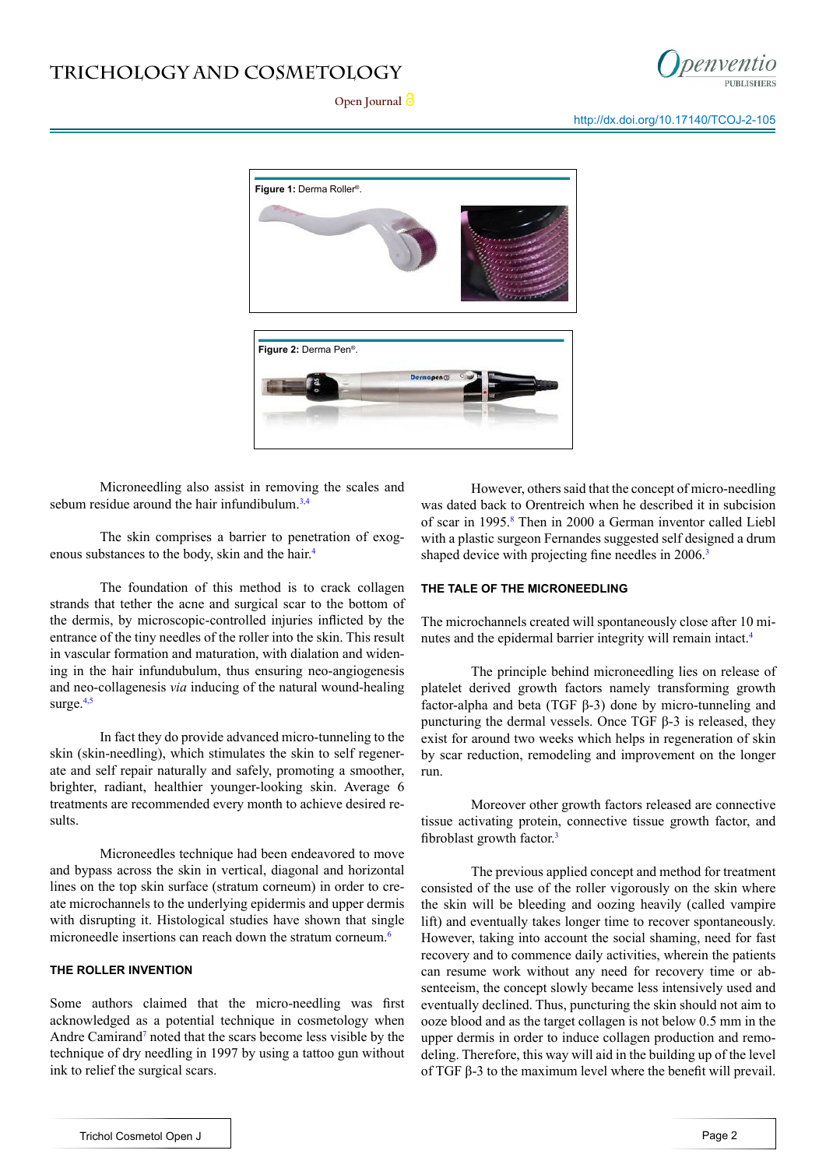### **TRICHOLOGY AND COSMETOLOGY**



Open Journal<sup>1</sup>

http://dx.doi.org/[10.17140/TCOJ-2-105](http://dx.doi.org/10.17140/TCOJ-2-105)



Microneedling also assist in removing the scales and sebum residue around the hair infundibulum. $3,4$ 

The skin comprises a barrier to penetration of exogenous substances to the body, skin and the hair.[4](#page-3-3)

The foundation of this method is to crack collagen strands that tether the acne and surgical scar to the bottom of the dermis, by microscopic-controlled injuries inflicted by the entrance of the tiny needles of the roller into the skin. This result in vascular formation and maturation, with dialation and widening in the hair infundubulum, thus ensuring neo-angiogenesis and neo-collagenesis *via* inducing of the natural wound-healing surge.<sup>[4,5](#page-3-3)</sup>

In fact they do provide advanced micro-tunneling to the skin (skin-needling), which stimulates the skin to self regenerate and self repair naturally and safely, promoting a smoother, brighter, radiant, healthier younger-looking skin. Average 6 treatments are recommended every month to achieve desired results.

Microneedles technique had been endeavored to move and bypass across the skin in vertical, diagonal and horizontal lines on the top skin surface (stratum corneum) in order to create microchannels to the underlying epidermis and upper dermis with disrupting it. Histological studies have shown that single microneedle insertions can reach down the stratum corneum.<sup>6</sup>

#### **THE ROLLER INVENTION**

Some authors claimed that the micro-needling was first acknowledged as a potential technique in cosmetology when Andre Camirand<sup>[7](#page-3-5)</sup> noted that the scars become less visible by the technique of dry needling in 1997 by using a tattoo gun without ink to relief the surgical scars.

However, others said that the concept of micro-needling was dated back to Orentreich when he described it in subcision of scar in 1995.<sup>[8](#page-3-6)</sup> Then in 2000 a German inventor called Liebl with a plastic surgeon Fernandes suggested self designed a drum shaped device with projecting fine needles in 2006.<sup>[3](#page-3-2)</sup>

#### **THE TALE OF THE MICRONEEDLING**

The microchannels created will spontaneously close after 10 minutes and the epidermal barrier integrity will remain intact.[4](#page-3-3)

The principle behind microneedling lies on release of platelet derived growth factors namely transforming growth factor-alpha and beta (TGF β-3) done by micro-tunneling and puncturing the dermal vessels. Once TGF β-3 is released, they exist for around two weeks which helps in regeneration of skin by scar reduction, remodeling and improvement on the longer run.

Moreover other growth factors released are connective tissue activating protein, connective tissue growth factor, and fibroblast growth factor.<sup>[3](#page-3-2)</sup>

The previous applied concept and method for treatment consisted of the use of the roller vigorously on the skin where the skin will be bleeding and oozing heavily (called vampire lift) and eventually takes longer time to recover spontaneously. However, taking into account the social shaming, need for fast recovery and to commence daily activities, wherein the patients can resume work without any need for recovery time or absenteeism, the concept slowly became less intensively used and eventually declined. Thus, puncturing the skin should not aim to ooze blood and as the target collagen is not below 0.5 mm in the upper dermis in order to induce collagen production and remodeling. Therefore, this way will aid in the building up of the level of TGF β-3 to the maximum level where the benefit will prevail.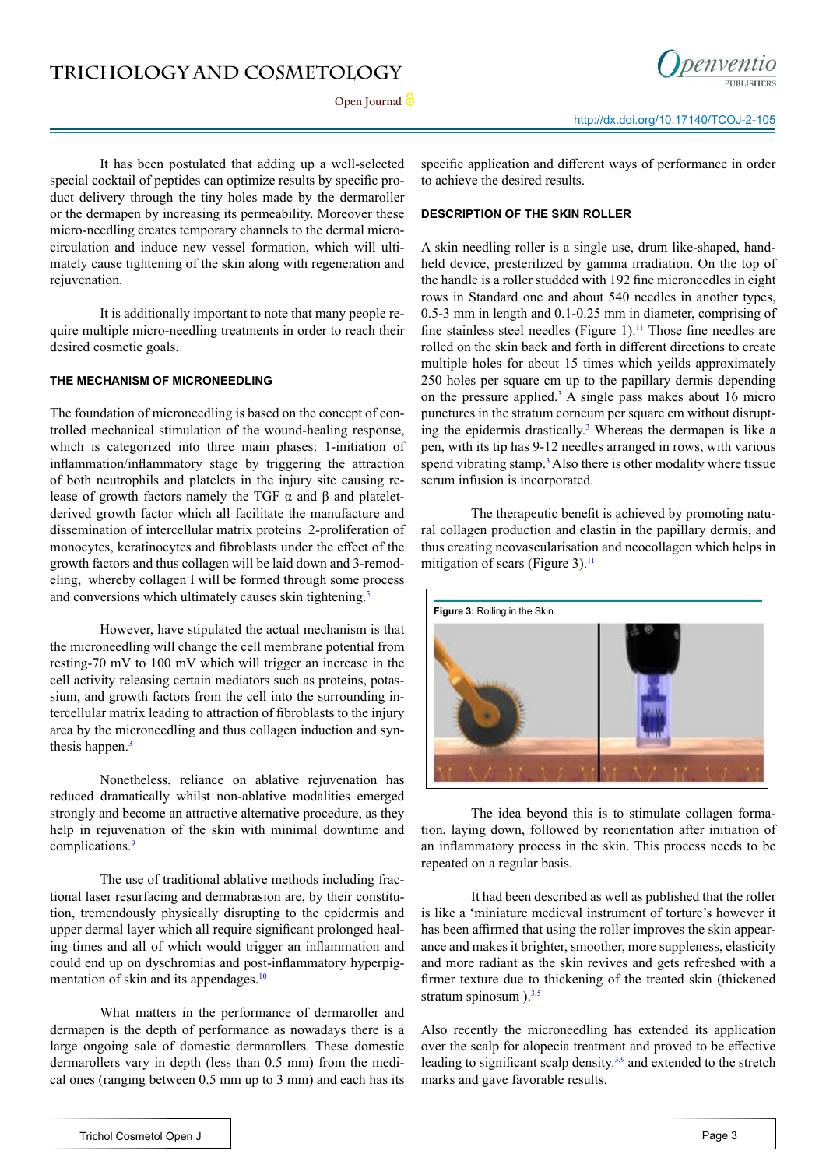Open **Journal**  $\partial$ 



It has been postulated that adding up a well-selected special cocktail of peptides can optimize results by specific product delivery through the tiny holes made by the dermaroller or the dermapen by increasing its permeability. Moreover these micro-needling creates temporary channels to the dermal microcirculation and induce new vessel formation, which will ultimately cause tightening of the skin along with regeneration and rejuvenation.

It is additionally important to note that many people require multiple micro-needling treatments in order to reach their desired cosmetic goals.

#### **THE MECHANISM OF MICRONEEDLING**

The foundation of microneedling is based on the concept of controlled mechanical stimulation of the wound-healing response, which is categorized into three main phases: 1-initiation of inflammation/inflammatory stage by triggering the attraction of both neutrophils and platelets in the injury site causing release of growth factors namely the TGF  $\alpha$  and β and plateletderived growth factor which all facilitate the manufacture and dissemination of intercellular matrix proteins 2-proliferation of monocytes, keratinocytes and fibroblasts under the effect of the growth factors and thus collagen will be laid down and 3-remodeling, whereby collagen I will be formed through some process and conversions which ultimately causes skin tightening.<sup>5</sup>

However, have stipulated the actual mechanism is that the microneedling will change the cell membrane potential from resting-70 mV to 100 mV which will trigger an increase in the cell activity releasing certain mediators such as proteins, potassium, and growth factors from the cell into the surrounding intercellular matrix leading to attraction of fibroblasts to the injury area by the microneedling and thus collagen induction and syn-thesis happen.<sup>[3](#page-3-2)</sup>

Nonetheless, reliance on ablative rejuvenation has reduced dramatically whilst non-ablative modalities emerged strongly and become an attractive alternative procedure, as they help in rejuvenation of the skin with minimal downtime and complications.<sup>[9](#page-3-8)</sup>

The use of traditional ablative methods including fractional laser resurfacing and dermabrasion are, by their constitution, tremendously physically disrupting to the epidermis and upper dermal layer which all require significant prolonged healing times and all of which would trigger an inflammation and could end up on dyschromias and post-inflammatory hyperpig-mentation of skin and its appendages.<sup>[10](#page-3-9)</sup>

What matters in the performance of dermaroller and dermapen is the depth of performance as nowadays there is a large ongoing sale of domestic dermarollers. These domestic dermarollers vary in depth (less than 0.5 mm) from the medical ones (ranging between 0.5 mm up to 3 mm) and each has its

specific application and different ways of performance in order to achieve the desired results.

#### **DESCRIPTION OF THE SKIN ROLLER**

A skin needling roller is a single use, drum like-shaped, handheld device, presterilized by gamma irradiation. On the top of the handle is a roller studded with 192 fine microneedles in eight rows in Standard one and about 540 needles in another types, 0.5-3 mm in length and 0.1-0.25 mm in diameter, comprising of fine stainless steel needles (Figure 1).<sup>[11](#page-3-10)</sup> Those fine needles are rolled on the skin back and forth in different directions to create multiple holes for about 15 times which yeilds approximately 250 holes per square cm up to the papillary dermis depending on the pressure applied.<sup>3</sup> A single pass makes about 16 micro punctures in the stratum corneum per square cm without disrupting the epidermis drastically.<sup>3</sup> Whereas the dermapen is like a pen, with its tip has 9-12 needles arranged in rows, with various spend vibrating stamp.<sup>[3](#page-3-2)</sup> Also there is other modality where tissue serum infusion is incorporated.

The therapeutic benefit is achieved by promoting natural collagen production and elastin in the papillary dermis, and thus creating neovascularisation and neocollagen which helps in mitigation of scars (Figure 3). $<sup>11</sup>$ </sup>



The idea beyond this is to stimulate collagen formation, laying down, followed by reorientation after initiation of an inflammatory process in the skin. This process needs to be repeated on a regular basis.

It had been described as well as published that the roller is like a 'miniature medieval instrument of torture's however it has been affirmed that using the roller improves the skin appearance and makes it brighter, smoother, more suppleness, elasticity and more radiant as the skin revives and gets refreshed with a firmer texture due to thickening of the treated skin (thickened stratum spinosum  $\lambda^{3,5}$  $\lambda^{3,5}$  $\lambda^{3,5}$ 

Also recently the microneedling has extended its application over the scalp for alopecia treatment and proved to be effective leading to significant scalp density.[3](#page-3-2),[9](#page-3-8) and extended to the stretch marks and gave favorable results.